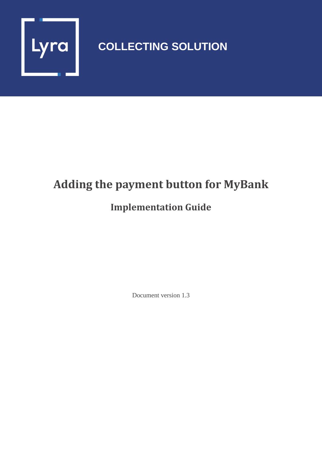

# **COLLECTING SOLUTION**

# **Adding the payment button for MyBank**

### **Implementation Guide**

Document version 1.3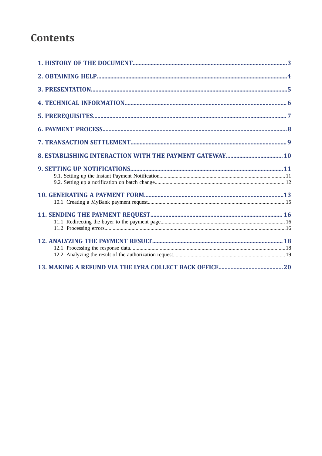### **Contents**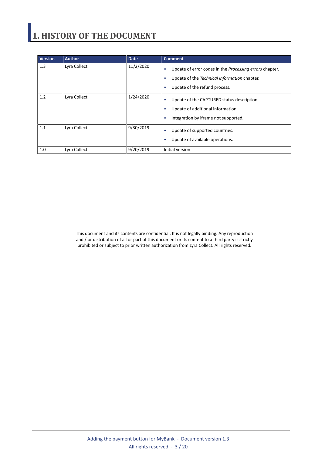# <span id="page-2-0"></span>**1. HISTORY OF THE DOCUMENT**

| <b>Version</b> | <b>Author</b> | <b>Date</b> | <b>Comment</b>                                                                                                                                          |
|----------------|---------------|-------------|---------------------------------------------------------------------------------------------------------------------------------------------------------|
| 1.3            | Lyra Collect  | 11/2/2020   | Update of error codes in the Processing errors chapter.<br>٠<br>Update of the Technical information chapter.<br>٠<br>Update of the refund process.<br>٠ |
| 1.2            | Lyra Collect  | 1/24/2020   | Update of the CAPTURED status description.<br>٠<br>Update of additional information.<br>٠<br>Integration by iframe not supported.<br>٠                  |
| 1.1            | Lyra Collect  | 9/30/2019   | Update of supported countries.<br>٠<br>Update of available operations.<br>٠                                                                             |
| 1.0            | Lyra Collect  | 9/20/2019   | Initial version                                                                                                                                         |

This document and its contents are confidential. It is not legally binding. Any reproduction and / or distribution of all or part of this document or its content to a third party is strictly prohibited or subject to prior written authorization from Lyra Collect. All rights reserved.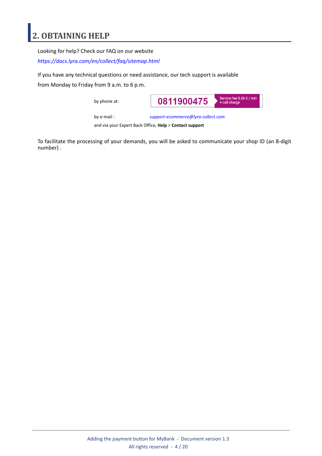### <span id="page-3-0"></span>**2. OBTAINING HELP**

Looking for help? Check our FAQ on our website

*<https://docs.lyra.com/en/collect/faq/sitemap.html>*

If you have any technical questions or need assistance, our tech support is available

from Monday to Friday from 9 a.m. to 6 p.m.

by phone at:



by e-mail : *[support-ecommerce@lyra-collect.com](mailto:support-ecommerce@lyra-collect.com)*

and via your Expert Back Office, **Help** > **Contact support**

To facilitate the processing of your demands, you will be asked to communicate your shop ID (an 8-digit number) .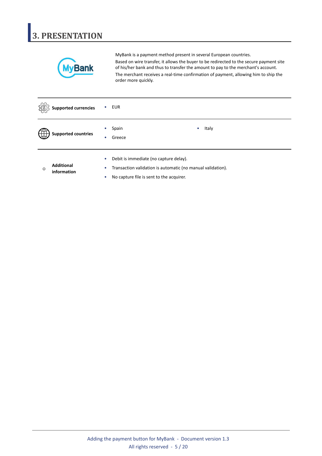# <span id="page-4-0"></span>**3. PRESENTATION**



MyBank is a payment method present in several European countries. Based on wire transfer, it allows the buyer to be redirected to the secure payment site of his/her bank and thus to transfer the amount to pay to the merchant's account. The merchant receives a real-time confirmation of payment, allowing him to ship the order more quickly.

|         | <b>Supported currencies</b>      |                        | <b>EUR</b>                                                                                                                                        |
|---------|----------------------------------|------------------------|---------------------------------------------------------------------------------------------------------------------------------------------------|
|         | <b>Supported countries</b>       | ۰<br>٠                 | Italy<br>Spain<br>$\bullet$<br>Greece                                                                                                             |
| $\odot$ | <b>Additional</b><br>information | $\bullet$<br>$\bullet$ | Debit is immediate (no capture delay).<br>Transaction validation is automatic (no manual validation).<br>No capture file is sent to the acquirer. |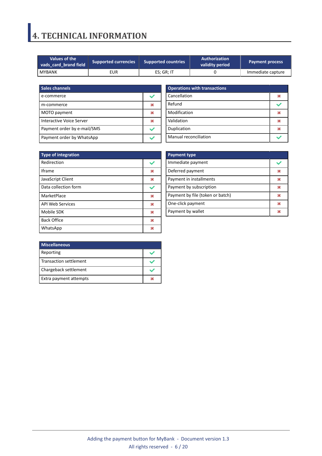### <span id="page-5-0"></span>**4. TECHNICAL INFORMATION**

| Values of the<br>vads card brand field | <b>Supported currencies</b> | <b>Authorization</b><br><b>Supported countries</b><br>validity period |  | <b>Payment process</b> |
|----------------------------------------|-----------------------------|-----------------------------------------------------------------------|--|------------------------|
| I MYBANK                               | EUR                         | ES: GR: IT                                                            |  | Immediate capture      |

| <b>Sales channels</b>       |  |
|-----------------------------|--|
| e-commerce                  |  |
| m-commerce                  |  |
| MOTO payment                |  |
| Interactive Voice Server    |  |
| Payment order by e-mail/SMS |  |
| Payment order by WhatsApp   |  |

| <b>Operations with transactions</b> |  |  |
|-------------------------------------|--|--|
| Cancellation                        |  |  |
| Refund                              |  |  |
| Modification                        |  |  |
| Validation                          |  |  |
| Duplication                         |  |  |
| <b>Manual reconciliation</b>        |  |  |

| <b>Type of integration</b> |   |
|----------------------------|---|
| Redirection                |   |
| <b>Iframe</b>              | M |
| JavaScript Client          | × |
| Data collection form       |   |
| MarketPlace                | ж |
| <b>API Web Services</b>    | ж |
| Mobile SDK                 | 发 |
| <b>Back Office</b>         | ж |
| WhatsApp                   |   |

| <b>Payment type</b>              |   |
|----------------------------------|---|
| Immediate payment                |   |
| Deferred payment                 | ж |
| Payment in installments          | 皱 |
| Payment by subscription          | ж |
| Payment by file (token or batch) | ж |
| One-click payment                | ж |
| Payment by wallet                |   |

| <b>Miscellaneous</b>   |  |
|------------------------|--|
| Reporting              |  |
| Transaction settlement |  |
| Chargeback settlement  |  |
| Extra payment attempts |  |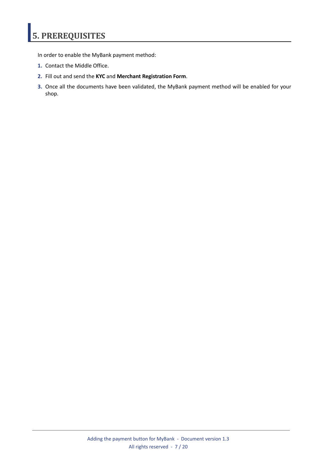# <span id="page-6-0"></span>**5. PREREQUISITES**

In order to enable the MyBank payment method:

- **1.** Contact the Middle Office.
- **2.** Fill out and send the **KYC** and **Merchant Registration Form**.
- **3.** Once all the documents have been validated, the MyBank payment method will be enabled for your shop.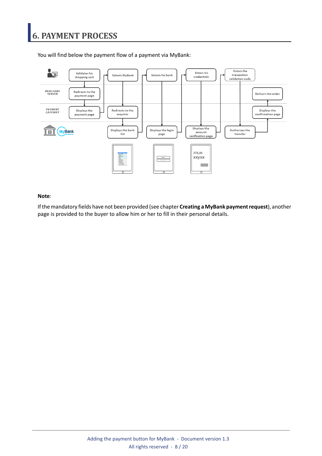### <span id="page-7-0"></span>**6. PAYMENT PROCESS**



You will find below the payment flow of a payment via MyBank:

#### **Note**:

Ifthemandatory fields have not been provided (see chapter **Creating a MyBank paymentrequest**), another page is provided to the buyer to allow him or her to fill in their personal details.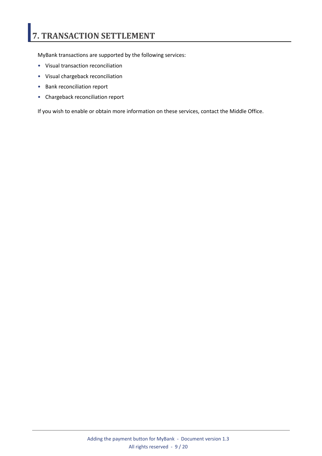# <span id="page-8-0"></span>**7. TRANSACTION SETTLEMENT**

MyBank transactions are supported by the following services:

- Visual transaction reconciliation
- Visual chargeback reconciliation
- Bank reconciliation report
- Chargeback reconciliation report

If you wish to enable or obtain more information on these services, contact the Middle Office.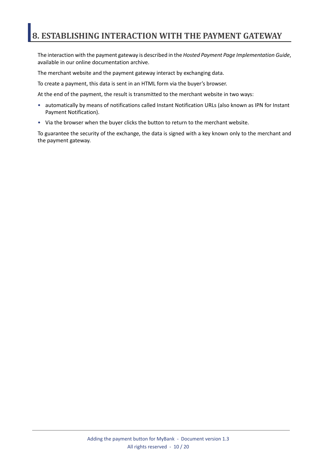### <span id="page-9-0"></span>**8. ESTABLISHING INTERACTION WITH THE PAYMENT GATEWAY**

The interaction with the payment gateway is described in the *Hosted Payment Page Implementation Guide*, available in our online documentation archive.

The merchant website and the payment gateway interact by exchanging data.

To create a payment, this data is sent in an HTML form via the buyer's browser.

At the end of the payment, the result is transmitted to the merchant website in two ways:

- automatically by means of notifications called Instant Notification URLs (also known as IPN for Instant Payment Notification).
- Via the browser when the buyer clicks the button to return to the merchant website.

To guarantee the security of the exchange, the data is signed with a key known only to the merchant and the payment gateway.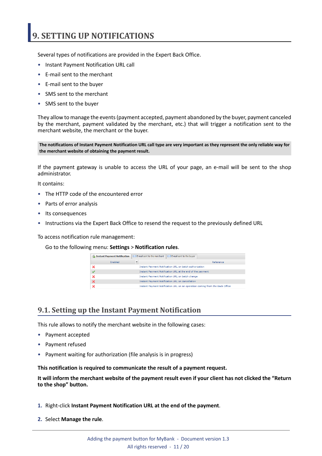### <span id="page-10-0"></span>**9. SETTING UP NOTIFICATIONS**

Several types of notifications are provided in the Expert Back Office.

- Instant Payment Notification URL call
- E-mail sent to the merchant
- E-mail sent to the buyer
- SMS sent to the merchant
- SMS sent to the buyer

They allow to manage the events(payment accepted, payment abandoned by the buyer, payment canceled by the merchant, payment validated by the merchant, etc.) that will trigger a notification sent to the merchant website, the merchant or the buyer.

The notifications of Instant Payment Notification URL call type are very important as they represent the only reliable way for **the merchant website of obtaining the payment result.**

If the payment gateway is unable to access the URL of your page, an e-mail will be sent to the shop administrator.

It contains:

- The HTTP code of the encountered error
- Parts of error analysis
- Its consequences
- Instructions via the Expert Back Office to resend the request to the previously defined URL

To access notification rule management:

Go to the following menu: **Settings** > **Notification rules**.

| Instant Payment Notification              | $\boxed{\smash{\sim}}$ E-mail sent to the merchant<br>$\sqrt{\phantom{a}}$ E-mail sent to the buver |
|-------------------------------------------|-----------------------------------------------------------------------------------------------------|
| $\overline{\mathbf{v}}$<br><b>Enabled</b> | Reference                                                                                           |
|                                           | Instant Payment Notification URL on batch authorization                                             |
|                                           | Instant Payment Notification URL at the end of the payment                                          |
|                                           | Instant Payment Notification URL on batch change                                                    |
|                                           | <b>Instant Payment Notification URL on cancellation</b>                                             |
|                                           | Instant Payment Notification URL on an operation coming from the Back Office                        |

#### <span id="page-10-1"></span>**9.1. Setting up the Instant Payment Notification**

This rule allows to notify the merchant website in the following cases:

- Payment accepted
- Payment refused
- Payment waiting for authorization (file analysis is in progress)

**This notification is required to communicate the result of a payment request.**

It will inform the merchant website of the payment result even if your client has not clicked the "Return **to the shop" button.**

- **1.** Right-click **Instant Payment Notification URL at the end of the payment**.
- **2.** Select **Manage the rule**.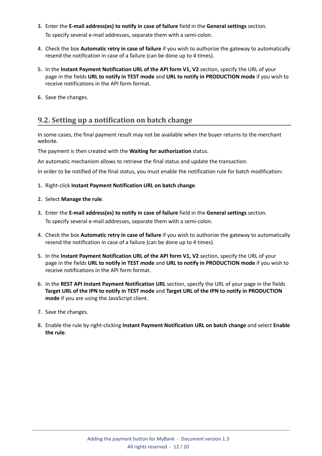- **3.** Enter the **E-mail address(es) to notify in case of failure** field in the **General settings** section. To specify several e-mail addresses, separate them with a semi-colon.
- **4.** Check the box **Automatic retry in case of failure** if you wish to authorize the gateway to automatically resend the notification in case of a failure (can be done up to 4 times).
- **5.** In the **Instant Payment Notification URL of the API form V1, V2** section, specify the URL of your page in the fields **URL to notify in TEST mode** and **URL to notify in PRODUCTION mode** if you wish to receive notifications in the API form format.
- **6.** Save the changes.

#### <span id="page-11-0"></span>**9.2. Setting up a notification on batch change**

In some cases, the final payment result may not be available when the buyer returns to the merchant website.

#### The payment is then created with the **Waiting for authorization** status.

An automatic mechanism allows to retrieve the final status and update the transaction.

In order to be notified of the final status, you must enable the notification rule for batch modification:

- **1.** Right-click **Instant Payment Notification URL on batch change**.
- **2.** Select **Manage the rule**.
- **3.** Enter the **E-mail address(es) to notify in case of failure** field in the **General settings** section. To specify several e-mail addresses, separate them with a semi-colon.
- **4.** Check the box **Automatic retry in case of failure** if you wish to authorize the gateway to automatically resend the notification in case of a failure (can be done up to 4 times).
- **5.** In the **Instant Payment Notification URL of the API form V1, V2** section, specify the URL of your page in the fields **URL to notify in TEST mode** and **URL to notify in PRODUCTION mode** if you wish to receive notifications in the API form format.
- **6.** In the **REST API Instant Payment Notification URL** section, specify the URL of your page in the fields Target URL of the IPN to notify in TEST mode and Target URL of the IPN to notify in PRODUCTION **mode** if you are using the JavaScript client.
- **7.** Save the changes.
- **8.** Enable the rule by right-clicking **Instant Payment Notification URL on batch change** and select **Enable the rule**.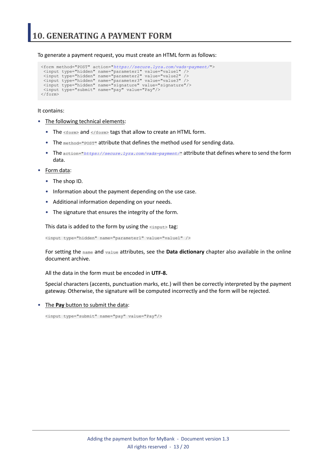<span id="page-12-0"></span>To generate a payment request, you must create an HTML form as follows:

```
<form method="POST" action="https://secure.lyra.com/vads-payment/">
 <input type="hidden" name="parameter1" value="value1" />
 <input type="hidden" name="parameter2" value="value2" />
 <input type="hidden" name="parameter3" value="value3" />
 <input type="hidden" name="signature" value="signature"/>
 <input type="submit" name="pay" value="Pay"/>
\langle/form\rangle
```
It contains:

- The following technical elements:
	- The  $\leq$  form> and  $\leq$ / form> tags that allow to create an HTML form.
	- The method="POST" attribute that defines the method used for sending data.
	- The action="*<https://secure.lyra.com/vads-payment/>*" attribute that defines where to send the form data.
- Form data:
	- The shop ID.
	- Information about the payment depending on the use case.
	- Additional information depending on your needs.
	- The signature that ensures the integrity of the form.

This data is added to the form by using the  $\langle$ input> tag:

<input type="hidden" name="parameter1" value="value1" />

For setting the name and value attributes, see the **Data dictionary** chapter also available in the online document archive.

All the data in the form must be encoded in **UTF-8.**

Special characters (accents, punctuation marks, etc.) will then be correctly interpreted by the payment gateway. Otherwise, the signature will be computed incorrectly and the form will be rejected.

• The **Pay** button to submit the data:

<input type="submit" name="pay" value="Pay"/>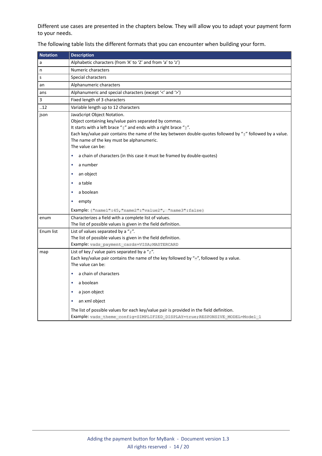Different use cases are presented in the chapters below. They will allow you to adapt your payment form to your needs.

| <b>Notation</b> | <b>Description</b>                                                                                                                                                                                                                                                                                                                                                                                                                                                            |
|-----------------|-------------------------------------------------------------------------------------------------------------------------------------------------------------------------------------------------------------------------------------------------------------------------------------------------------------------------------------------------------------------------------------------------------------------------------------------------------------------------------|
| a               | Alphabetic characters (from 'A' to 'Z' and from 'a' to 'z')                                                                                                                                                                                                                                                                                                                                                                                                                   |
| n               | Numeric characters                                                                                                                                                                                                                                                                                                                                                                                                                                                            |
| s               | Special characters                                                                                                                                                                                                                                                                                                                                                                                                                                                            |
| an              | Alphanumeric characters                                                                                                                                                                                                                                                                                                                                                                                                                                                       |
| ans             | Alphanumeric and special characters (except '<' and '>')                                                                                                                                                                                                                                                                                                                                                                                                                      |
| 3               | Fixed length of 3 characters                                                                                                                                                                                                                                                                                                                                                                                                                                                  |
| .12             | Variable length up to 12 characters                                                                                                                                                                                                                                                                                                                                                                                                                                           |
| json            | JavaScript Object Notation.<br>Object containing key/value pairs separated by commas.<br>It starts with a left brace "{" and ends with a right brace "}".<br>Each key/value pair contains the name of the key between double-quotes followed by ":" followed by a value.<br>The name of the key must be alphanumeric.<br>The value can be:<br>a chain of characters (in this case it must be framed by double-quotes)<br>٠<br>a number<br>٠<br>an object<br>٠<br>a table<br>٠ |
|                 | a boolean<br>empty<br>٠                                                                                                                                                                                                                                                                                                                                                                                                                                                       |
|                 | <b>Example:</b> { "name1":45,            "name2": "value2",            "name3":false}                                                                                                                                                                                                                                                                                                                                                                                         |
| enum            | Characterizes a field with a complete list of values.<br>The list of possible values is given in the field definition.                                                                                                                                                                                                                                                                                                                                                        |
| Enum list       | List of values separated by a ";".<br>The list of possible values is given in the field definition.<br>Example: vads payment cards=VISA; MASTERCARD                                                                                                                                                                                                                                                                                                                           |
| map             | List of key / value pairs separated by a " $\overline{r}$ ".<br>Each key/value pair contains the name of the key followed by "=", followed by a value.<br>The value can be:<br>a chain of characters<br>٠                                                                                                                                                                                                                                                                     |
|                 | a boolean<br>٠                                                                                                                                                                                                                                                                                                                                                                                                                                                                |
|                 | a json object<br>٠                                                                                                                                                                                                                                                                                                                                                                                                                                                            |
|                 | an xml object                                                                                                                                                                                                                                                                                                                                                                                                                                                                 |
|                 | The list of possible values for each key/value pair is provided in the field definition.<br>Example: vads theme config=SIMPLIFIED DISPLAY=true; RESPONSIVE MODEL=Model 1                                                                                                                                                                                                                                                                                                      |

The following table lists the different formats that you can encounter when building your form.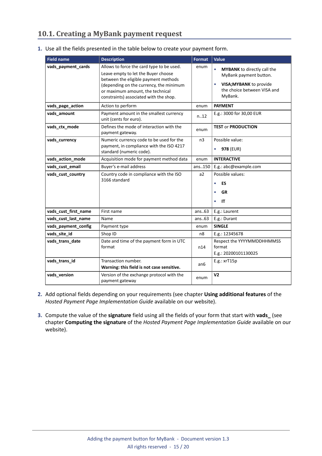### <span id="page-14-0"></span>**10.1. Creating a MyBank payment request**

| <b>Field name</b>    | <b>Description</b>                                                                                                                                                                                                                                | <b>Format</b>  | <b>Value</b>                                                                                                                                   |
|----------------------|---------------------------------------------------------------------------------------------------------------------------------------------------------------------------------------------------------------------------------------------------|----------------|------------------------------------------------------------------------------------------------------------------------------------------------|
| vads_payment_cards   | Allows to force the card type to be used.<br>Leave empty to let the Buyer choose<br>between the eligible payment methods<br>(depending on the currency, the minimum<br>or maximum amount, the technical<br>constraints) associated with the shop. | enum           | <b>MYBANK</b> to directly call the<br>$\bullet$<br>MyBank payment button.<br>VISA; MYBANK to provide<br>the choice between VISA and<br>MyBank. |
| vads_page_action     | Action to perform                                                                                                                                                                                                                                 | enum           | <b>PAYMENT</b>                                                                                                                                 |
| vads_amount          | Payment amount in the smallest currency<br>unit (cents for euro).                                                                                                                                                                                 | n.12           | E.g.: 3000 for 30,00 EUR                                                                                                                       |
| vads_ctx_mode        | Defines the mode of interaction with the<br>payment gateway.                                                                                                                                                                                      | enum           | <b>TEST or PRODUCTION</b>                                                                                                                      |
| vads_currency        | Numeric currency code to be used for the<br>payment, in compliance with the ISO 4217<br>standard (numeric code).                                                                                                                                  | n <sub>3</sub> | Possible value:<br>978 (EUR)<br>$\bullet$                                                                                                      |
| vads_action_mode     | Acquisition mode for payment method data                                                                                                                                                                                                          | enum           | <b>INTERACTIVE</b>                                                                                                                             |
| vads_cust_email      | Buyer's e-mail address                                                                                                                                                                                                                            | ans150         | E.g.: abc@example.com                                                                                                                          |
| vads_cust_country    | Country code in compliance with the ISO<br>3166 standard                                                                                                                                                                                          | a2             | Possible values:<br>ES<br>$\bullet$<br><b>GR</b><br>$\bullet$<br>ΙT                                                                            |
| vads_cust_first_name | First name                                                                                                                                                                                                                                        | ans.63         | E.g.: Laurent                                                                                                                                  |
| vads_cust_last_name  | Name                                                                                                                                                                                                                                              | ans.63         | E.g.: Durant                                                                                                                                   |
| vads_payment_config  | Payment type                                                                                                                                                                                                                                      | enum           | <b>SINGLE</b>                                                                                                                                  |
| vads_site_id         | Shop ID                                                                                                                                                                                                                                           | n8             | E.g.: 12345678                                                                                                                                 |
| vads_trans_date      | Date and time of the payment form in UTC<br>format                                                                                                                                                                                                | n14            | Respect the YYYYMMDDHHMMSS<br>format<br>E.g.: 20200101130025                                                                                   |
| vads_trans_id        | Transaction number.<br>Warning: this field is not case sensitive.                                                                                                                                                                                 | an6            | $E.g.:$ xr $T15p$                                                                                                                              |
| vads_version         | Version of the exchange protocol with the<br>payment gateway                                                                                                                                                                                      | enum           | V <sub>2</sub>                                                                                                                                 |

**1.** Use all the fields presented in the table below to create your payment form.

- **2.** Add optional fields depending on your requirements (see chapter **Using additional features** of the *Hosted Payment Page Implementation Guide* available on our website).
- **3.** Compute the value of the **signature** field using all the fields of your form that start with **vads\_** (see chapter **Computing the signature** of the *Hosted Payment Page Implementation Guide* available on our website).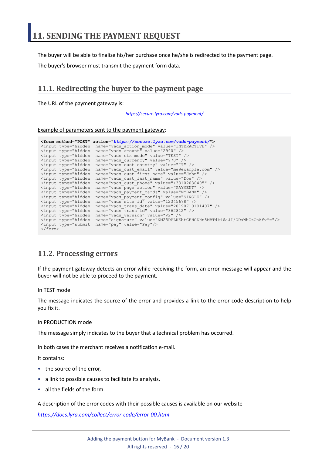<span id="page-15-0"></span>The buyer will be able to finalize his/her purchase once he/she is redirected to the payment page.

The buyer's browser must transmit the payment form data.

### <span id="page-15-1"></span>**11.1. Redirecting the buyer to the payment page**

The URL of the payment gateway is:

*<https://secure.lyra.com/vads-payment/>*

#### Example of parameters sent to the payment gateway:

|                           | <form action="https://secure.lyra.com/vads-payment/" method="POST"></form>                   |
|---------------------------|----------------------------------------------------------------------------------------------|
|                           | <input name="vads action mode" type="hidden" value="INTERACTIVE"/>                           |
|                           | <input name="vads amount" type="hidden" value="2990"/>                                       |
|                           | <input name="vads ctx mode" type="hidden" value="TEST"/>                                     |
|                           | <input name="vads currency" type="hidden" value="978"/>                                      |
|                           | <input name="vads cust country" type="hidden" value="IT"/>                                   |
|                           | <input name="vads cust email" type="hidden" value="me@example.com"/>                         |
|                           | <input name="vads cust first name" type="hidden" value="John"/>                              |
|                           | <input name="vads cust last name" type="hidden" value="Doe"/>                                |
|                           | <input name="vads cust phone" type="hidden" value="+33102030405"/>                           |
|                           | <input name="vads page action" type="hidden" value="PAYMENT"/>                               |
|                           | <input name="vads payment cards" type="hidden" value="MYBANK"/>                              |
|                           | <input name="vads payment confiq" type="hidden" value="SINGLE"/>                             |
|                           | <input name="vads site id" type="hidden" value="12345678"/>                                  |
|                           | <input name="vads trans date" type="hidden" value="20190710101407"/>                         |
|                           | <input name="vads trans id" type="hidden" value="362812"/>                                   |
|                           | <input name="vads version" type="hidden" value="V2"/>                                        |
|                           | <input name="signature" type="hidden" value="NM25DPLKEbtGEHCDHn8MBT4ki6aJI/ODaWhCzCnAfvY="/> |
|                           | <input name="pay" type="submit" value="Pay"/>                                                |
| $\langle$ /form $\rangle$ |                                                                                              |

### <span id="page-15-2"></span>**11.2. Processing errors**

If the payment gateway detects an error while receiving the form, an error message will appear and the buyer will not be able to proceed to the payment.

#### In TEST mode

The message indicates the source of the error and provides a link to the error code description to help you fix it.

#### In PRODUCTION mode

The message simply indicates to the buyer that a technical problem has occurred.

In both cases the merchant receives a notification e-mail.

It contains:

- the source of the error,
- a link to possible causes to facilitate its analysis,
- all the fields of the form.

A description of the error codes with their possible causes is available on our website

*<https://docs.lyra.com/collect/error-code/error-00.html>*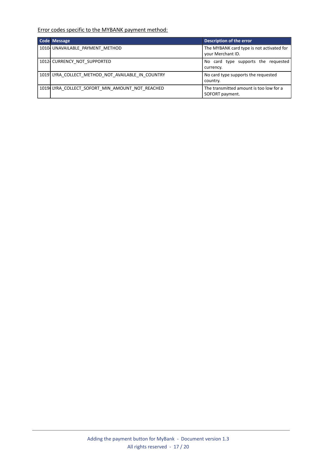Error codes specific to the MYBANK payment method:

| <b>Code Message</b>                               | Description of the error                                       |
|---------------------------------------------------|----------------------------------------------------------------|
| 10104 UNAVAILABLE PAYMENT METHOD                  | The MYBANK card type is not activated for<br>your Merchant ID. |
| 1012 CURRENCY NOT SUPPORTED                       | No card type supports the requested<br>currency.               |
| 1019 LYRA COLLECT METHOD NOT AVAILABLE IN COUNTRY | No card type supports the requested<br>country.                |
| 1019 LYRA COLLECT SOFORT MIN AMOUNT NOT REACHED   | The transmitted amount is too low for a<br>SOFORT payment.     |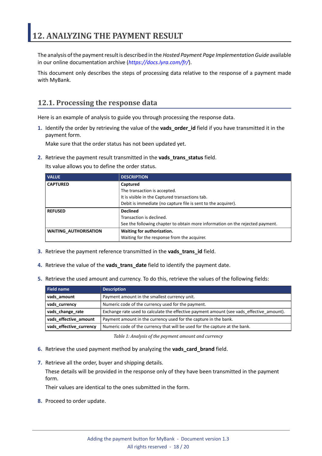<span id="page-17-0"></span>The analysis of the payment result is described in the *Hosted Payment Page Implementation Guide* available in our online documentation archive (*<https://docs.lyra.com/fr/>*).

This document only describes the steps of processing data relative to the response of a payment made with MyBank.

### <span id="page-17-1"></span>**12.1. Processing the response data**

Here is an example of analysis to guide you through processing the response data.

**1.** Identify the order by retrieving the value of the **vads\_order\_id** field if you have transmitted it in the payment form.

Make sure that the order status has not been updated yet.

**2.** Retrieve the payment result transmitted in the **vads\_trans\_status** field.

Its value allows you to define the order status.

| <b>VALUE</b>                 | <b>DESCRIPTION</b>                                                            |  |
|------------------------------|-------------------------------------------------------------------------------|--|
| <b>CAPTURED</b>              | Captured                                                                      |  |
|                              | The transaction is accepted.                                                  |  |
|                              | It is visible in the Captured transactions tab.                               |  |
|                              | Debit is immediate (no capture file is sent to the acquirer).                 |  |
| <b>REFUSED</b>               | <b>Declined</b>                                                               |  |
|                              | Transaction is declined.                                                      |  |
|                              | See the following chapter to obtain more information on the rejected payment. |  |
| <b>WAITING AUTHORISATION</b> | Waiting for authorization.                                                    |  |
|                              | Waiting for the response from the acquirer.                                   |  |

- **3.** Retrieve the payment reference transmitted in the **vads\_trans\_id** field.
- **4.** Retrieve the value of the **vads\_trans\_date** field to identify the payment date.
- **5.** Retrieve the used amount and currency. To do this, retrieve the values of the following fields:

| Field name              | <b>Description</b>                                                                        |  |
|-------------------------|-------------------------------------------------------------------------------------------|--|
| vads amount             | Payment amount in the smallest currency unit.                                             |  |
| vads currency           | Numeric code of the currency used for the payment.                                        |  |
| vads_change_rate        | Exchange rate used to calculate the effective payment amount (see vads effective amount). |  |
| vads_effective_amount   | Payment amount in the currency used for the capture in the bank.                          |  |
| vads_effective_currency | Numeric code of the currency that will be used for the capture at the bank.               |  |

*Table 1: Analysis of the payment amount and currency*

- **6.** Retrieve the used payment method by analyzing the **vads\_card\_brand** field.
- **7.** Retrieve all the order, buyer and shipping details.

These details will be provided in the response only of they have been transmitted in the payment form.

Their values are identical to the ones submitted in the form.

**8.** Proceed to order update.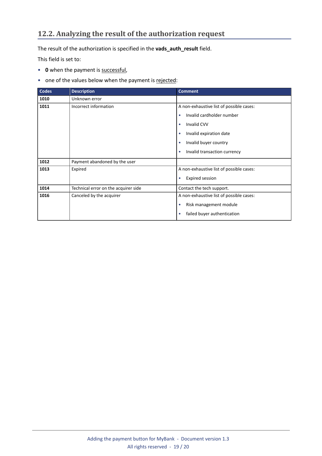### <span id="page-18-0"></span>**12.2. Analyzing the result of the authorization request**

The result of the authorization is specified in the **vads\_auth\_result** field.

This field is set to:

- **0** when the payment is successful,
- one of the values below when the payment is rejected:

| Codes | <b>Description</b>                   | <b>Comment</b>                            |
|-------|--------------------------------------|-------------------------------------------|
| 1010  | Unknown error                        |                                           |
| 1011  | Incorrect information                | A non-exhaustive list of possible cases:  |
|       |                                      | Invalid cardholder number<br>٠            |
|       |                                      | <b>Invalid CVV</b><br>$\bullet$           |
|       |                                      | Invalid expiration date<br>$\bullet$      |
|       |                                      | Invalid buyer country<br>٠                |
|       |                                      | Invalid transaction currency<br>$\bullet$ |
| 1012  | Payment abandoned by the user        |                                           |
| 1013  | Expired                              | A non-exhaustive list of possible cases:  |
|       |                                      | <b>Expired session</b><br>$\bullet$       |
| 1014  | Technical error on the acquirer side | Contact the tech support.                 |
| 1016  | Canceled by the acquirer             | A non-exhaustive list of possible cases:  |
|       |                                      | Risk management module<br>۰               |
|       |                                      | failed buyer authentication<br>٠          |